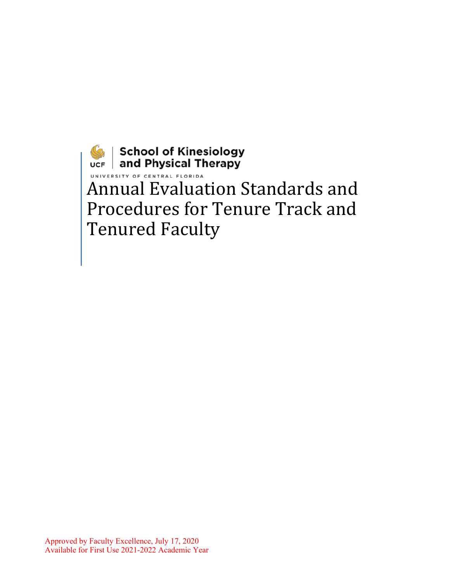**School of Kinesiology**<br>UCF and Physical Therapy Annual Evaluation Standards and Procedures for Tenure Track and Tenured Faculty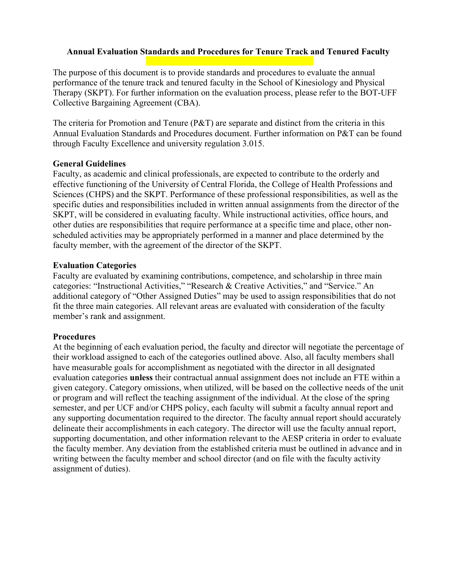# **Annual Evaluation Standards and Procedures for Tenure Track and Tenured Faculty**

The purpose of this document is to provide standards and procedures to evaluate the annual performance of the tenure track and tenured faculty in the School of Kinesiology and Physical Therapy (SKPT). For further information on the evaluation process, please refer to the BOT-UFF Collective Bargaining Agreement (CBA).

The criteria for Promotion and Tenure (P&T) are separate and distinct from the criteria in this Annual Evaluation Standards and Procedures document. Further information on P&T can be found through Faculty Excellence and university regulation 3.015.

# **General Guidelines**

Faculty, as academic and clinical professionals, are expected to contribute to the orderly and effective functioning of the University of Central Florida, the College of Health Professions and Sciences (CHPS) and the SKPT. Performance of these professional responsibilities, as well as the specific duties and responsibilities included in written annual assignments from the director of the SKPT, will be considered in evaluating faculty. While instructional activities, office hours, and other duties are responsibilities that require performance at a specific time and place, other nonscheduled activities may be appropriately performed in a manner and place determined by the faculty member, with the agreement of the director of the SKPT.

## **Evaluation Categories**

Faculty are evaluated by examining contributions, competence, and scholarship in three main categories: "Instructional Activities," "Research & Creative Activities," and "Service." An additional category of "Other Assigned Duties" may be used to assign responsibilities that do not fit the three main categories. All relevant areas are evaluated with consideration of the faculty member's rank and assignment.

# **Procedures**

At the beginning of each evaluation period, the faculty and director will negotiate the percentage of their workload assigned to each of the categories outlined above. Also, all faculty members shall have measurable goals for accomplishment as negotiated with the director in all designated evaluation categories **unless** their contractual annual assignment does not include an FTE within a given category. Category omissions, when utilized, will be based on the collective needs of the unit or program and will reflect the teaching assignment of the individual. At the close of the spring semester, and per UCF and/or CHPS policy, each faculty will submit a faculty annual report and any supporting documentation required to the director. The faculty annual report should accurately delineate their accomplishments in each category. The director will use the faculty annual report, supporting documentation, and other information relevant to the AESP criteria in order to evaluate the faculty member. Any deviation from the established criteria must be outlined in advance and in writing between the faculty member and school director (and on file with the faculty activity assignment of duties).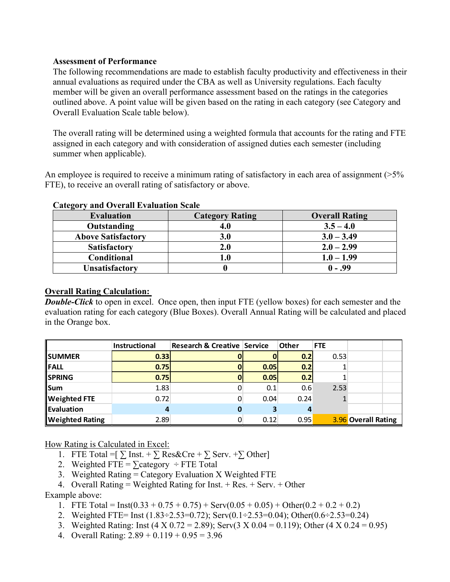# **Assessment of Performance**

The following recommendations are made to establish faculty productivity and effectiveness in their annual evaluations as required under the CBA as well as University regulations. Each faculty member will be given an overall performance assessment based on the ratings in the categories outlined above. A point value will be given based on the rating in each category (see Category and Overall Evaluation Scale table below).

The overall rating will be determined using a weighted formula that accounts for the rating and FTE assigned in each category and with consideration of assigned duties each semester (including summer when applicable).

An employee is required to receive a minimum rating of satisfactory in each area of assignment ( $>5\%$ ) FTE), to receive an overall rating of satisfactory or above.

| $   -$<br><b>Evaluation</b> | <b>Category Rating</b> | <b>Overall Rating</b> |
|-----------------------------|------------------------|-----------------------|
| Outstanding                 | 4.0                    | $3.5 - 4.0$           |
| <b>Above Satisfactory</b>   | 3.0                    | $3.0 - 3.49$          |
| <b>Satisfactory</b>         | $\boldsymbol{2.0}$     | $2.0 - 2.99$          |
| Conditional                 | I .O                   | $1.0 - 1.99$          |
| <b>Unsatisfactory</b>       |                        | $0 - .99$             |

## **Category and Overall Evaluation Scale**

# **Overall Rating Calculation:**

*Double-Click* to open in excel. Once open, then input FTE (yellow boxes) for each semester and the evaluation rating for each category (Blue Boxes). Overall Annual Rating will be calculated and placed in the Orange box.

|                        | Instructional | <b>Research &amp; Creative Service</b> |      | <b>Other</b> | <b>FTE</b> |                     |  |
|------------------------|---------------|----------------------------------------|------|--------------|------------|---------------------|--|
| <b>SUMMER</b>          | 0.33          |                                        |      | 0.2          | 0.53       |                     |  |
| <b>FALL</b>            | 0.75          |                                        | 0.05 | 0.2          |            |                     |  |
| <b>SPRING</b>          | 0.75          |                                        | 0.05 | 0.2          |            |                     |  |
| <b>Sum</b>             | 1.83          |                                        | 0.1  | 0.6          | 2.53       |                     |  |
| <b>Weighted FTE</b>    | 0.72          |                                        | 0.04 | 0.24         |            |                     |  |
| Evaluation             |               | 0                                      |      |              |            |                     |  |
| <b>Weighted Rating</b> | 2.89          |                                        | 0.12 | 0.95         |            | 3.96 Overall Rating |  |

How Rating is Calculated in Excel:

- 1. FTE Total = $[\sum$  Inst. +  $[\sum$  Res&Cre +  $[\sum$  Serv. + $[\sum$  Other
- 2. Weighted FTE =  $\sum \text{category}$  ÷ FTE Total
- 3. Weighted Rating = Category Evaluation X Weighted FTE
- 4. Overall Rating = Weighted Rating for Inst. + Res. + Serv. + Other

Example above:

- 1. FTE Total = Inst( $0.33 + 0.75 + 0.75$ ) + Serv( $0.05 + 0.05$ ) + Other( $0.2 + 0.2 + 0.2$ )
- 2. Weighted FTE= Inst  $(1.83 \div 2.53 = 0.72)$ ; Serv $(0.1 \div 2.53 = 0.04)$ ; Other $(0.6 \div 2.53 = 0.24)$
- 3. Weighted Rating: Inst  $(4 \times 0.72 = 2.89)$ ; Serv $(3 \times 0.04 = 0.119)$ ; Other  $(4 \times 0.24 = 0.95)$
- 4. Overall Rating:  $2.89 + 0.119 + 0.95 = 3.96$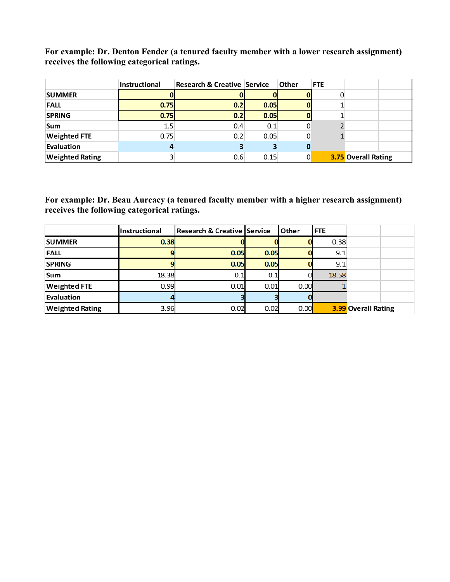**For example: Dr. Denton Fender (a tenured faculty member with a lower research assignment) receives the following categorical ratings.**

|                        | Instructional | Research & Creative Service |      | <b>Other</b> | <b>FTE</b> |                            |
|------------------------|---------------|-----------------------------|------|--------------|------------|----------------------------|
| <b>SUMMER</b>          |               |                             |      |              | 0          |                            |
| <b>FALL</b>            | 0.75          | 0.2                         | 0.05 |              |            |                            |
| <b>SPRING</b>          | 0.75          | 0.2                         | 0.05 |              |            |                            |
| <b>Sum</b>             | 1.5           | 0.4                         | 0.1  |              |            |                            |
| <b>Weighted FTE</b>    | 0.75          | 0.2                         | 0.05 | 0            |            |                            |
| Evaluation             |               |                             | 3    |              |            |                            |
| <b>Weighted Rating</b> |               | 0.6                         | 0.15 | 0            |            | <b>3.75 Overall Rating</b> |

**For example: Dr. Beau Aurcacy (a tenured faculty member with a higher research assignment) receives the following categorical ratings.**

|                        | Instructional | <b>Research &amp; Creative Service</b> |      | Other | <b>FTE</b> |                     |
|------------------------|---------------|----------------------------------------|------|-------|------------|---------------------|
| <b>SUMMER</b>          | 0.38          |                                        |      |       | 0.38       |                     |
| <b>FALL</b>            |               | 0.05                                   | 0.05 |       | 9.1        |                     |
| <b>SPRING</b>          |               | 0.05                                   | 0.05 |       | 9.1        |                     |
| Sum                    | 18.38         | 0.1                                    | 0.1  |       | 18.58      |                     |
| <b>Weighted FTE</b>    | 0.99          | 0.01                                   | 0.01 | 0.00  |            |                     |
| Evaluation             |               |                                        |      |       |            |                     |
| <b>Weighted Rating</b> | 3.96          | 0.02                                   | 0.02 | 0.00  |            | 3.99 Overall Rating |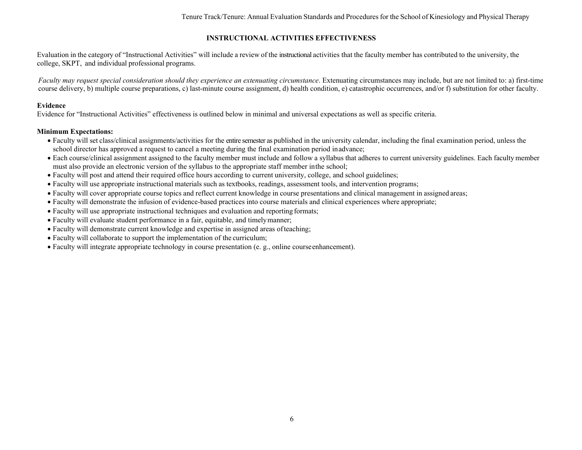Tenure Track/Tenure: Annual Evaluation Standards and Proceduresfor the School of Kinesiology and Physical Therapy

## **INSTRUCTIONAL ACTIVITIES EFFECTIVENESS**

Evaluation in the category of "Instructional Activities" will include a review of the instructional activities that the faculty member has contributed to the university, the college, SKPT, and individual professional programs.

*Faculty may request special consideration should they experience an extenuating circumstance*. Extenuating circumstances may include, but are not limited to: a) first-time course delivery, b) multiple course preparations, c) last-minute course assignment, d) health condition, e) catastrophic occurrences, and/or f) substitution for other faculty.

#### **Evidence**

Evidence for "Instructional Activities" effectiveness is outlined below in minimal and universal expectations as well as specific criteria.

#### **Minimum Expectations:**

- Faculty will set class/clinical assignments/activities for the entire semester as published in the university calendar, including the final examination period, unless the school director has approved a request to cancel a meeting during the final examination period inadvance;
- Each course/clinical assignment assigned to the faculty member must include and follow a syllabus that adheres to current university guidelines. Each faculty member must also provide an electronic version of the syllabus to the appropriate staff member inthe school;
- Faculty will post and attend their required office hours according to current university, college, and school guidelines;
- Faculty will use appropriate instructional materials such as textbooks, readings, assessment tools, and intervention programs;
- Faculty will cover appropriate course topics and reflect current knowledge in course presentations and clinical management in assigned areas;
- Faculty will demonstrate the infusion of evidence-based practices into course materials and clinical experiences where appropriate;
- Faculty will use appropriate instructional techniques and evaluation and reporting formats;
- Faculty will evaluate student performance in a fair, equitable, and timelymanner;
- Faculty will demonstrate current knowledge and expertise in assigned areas ofteaching;
- Faculty will collaborate to support the implementation of the curriculum;
- Faculty will integrate appropriate technology in course presentation (e. g., online courseenhancement).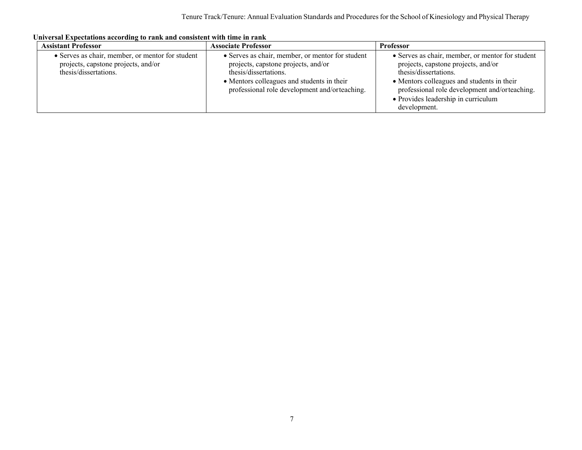Tenure Track/Tenure: Annual Evaluation Standards and Procedures for the School of Kinesiology and Physical Therapy

**Universal Expectations according to rank and consistent with time in rank**

| <b>Assistant Professor</b>                                                                                       | <b>Associate Professor</b>                                                                                                                                                                                      | <b>Professor</b>                                                                                                                                                                                                                                                       |
|------------------------------------------------------------------------------------------------------------------|-----------------------------------------------------------------------------------------------------------------------------------------------------------------------------------------------------------------|------------------------------------------------------------------------------------------------------------------------------------------------------------------------------------------------------------------------------------------------------------------------|
| • Serves as chair, member, or mentor for student<br>projects, capstone projects, and/or<br>thesis/dissertations. | • Serves as chair, member, or mentor for student<br>projects, capstone projects, and/or<br>thesis/dissertations.<br>• Mentors colleagues and students in their<br>professional role development and/orteaching. | • Serves as chair, member, or mentor for student<br>projects, capstone projects, and/or<br>thesis/dissertations.<br>• Mentors colleagues and students in their<br>professional role development and/orteaching.<br>• Provides leadership in curriculum<br>development. |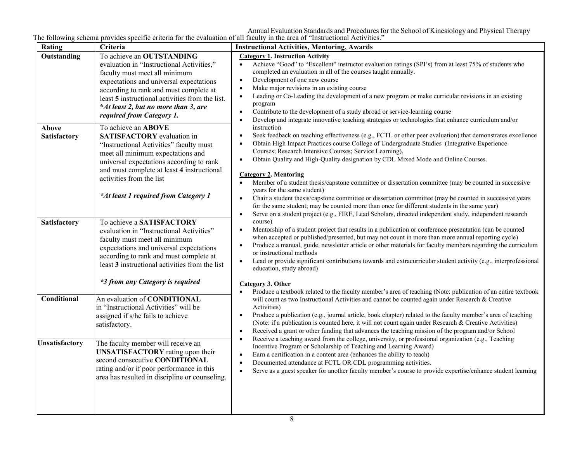| Rating                | Criteria                                                                                                                                                                                                                                                                                                             | <b>Instructional Activities, Mentoring, Awards</b>                                                                                                                                                                                                                                                                                                                                                                                                                                                                                                                                                                                                                                                                                                                                                                                                                                                                                       |  |  |
|-----------------------|----------------------------------------------------------------------------------------------------------------------------------------------------------------------------------------------------------------------------------------------------------------------------------------------------------------------|------------------------------------------------------------------------------------------------------------------------------------------------------------------------------------------------------------------------------------------------------------------------------------------------------------------------------------------------------------------------------------------------------------------------------------------------------------------------------------------------------------------------------------------------------------------------------------------------------------------------------------------------------------------------------------------------------------------------------------------------------------------------------------------------------------------------------------------------------------------------------------------------------------------------------------------|--|--|
| Outstanding           | To achieve an OUTSTANDING<br>evaluation in "Instructional Activities,"<br>faculty must meet all minimum<br>expectations and universal expectations<br>according to rank and must complete at<br>least 5 instructional activities from the list.<br>*At least 2, but no more than 3, are<br>required from Category 1. | <b>Category 1. Instruction Activity</b><br>Achieve "Good" to "Excellent" instructor evaluation ratings (SPI's) from at least 75% of students who<br>completed an evaluation in all of the courses taught annually.<br>Development of one new course<br>$\bullet$<br>Make major revisions in an existing course<br>$\bullet$<br>Leading or Co-Leading the development of a new program or make curricular revisions in an existing<br>$\bullet$<br>program<br>Contribute to the development of a study abroad or service-learning course<br>$\bullet$<br>Develop and integrate innovative teaching strategies or technologies that enhance curriculum and/or<br>$\bullet$                                                                                                                                                                                                                                                                 |  |  |
| Above<br>Satisfactory | To achieve an <b>ABOVE</b><br><b>SATISFACTORY</b> evaluation in<br>"Instructional Activities" faculty must<br>meet all minimum expectations and<br>universal expectations according to rank<br>and must complete at least 4 instructional<br>activities from the list<br>*At least 1 required from Category 1        | instruction<br>Seek feedback on teaching effectiveness (e.g., FCTL or other peer evaluation) that demonstrates excellence<br>$\bullet$<br>Obtain High Impact Practices course College of Undergraduate Studies (Integrative Experience<br>$\bullet$<br>Courses; Research Intensive Courses; Service Learning).<br>Obtain Quality and High-Quality designation by CDL Mixed Mode and Online Courses.<br>$\bullet$<br><b>Category 2. Mentoring</b><br>Member of a student thesis/capstone committee or dissertation committee (may be counted in successive<br>years for the same student)<br>Chair a student thesis/capstone committee or dissertation committee (may be counted in successive years<br>$\bullet$<br>for the same student; may be counted more than once for different students in the same year)<br>Serve on a student project (e.g., FIRE, Lead Scholars, directed independent study, independent research<br>$\bullet$ |  |  |
| Satisfactory          | To achieve a SATISFACTORY<br>evaluation in "Instructional Activities"<br>faculty must meet all minimum<br>expectations and universal expectations<br>according to rank and must complete at<br>least 3 instructional activities from the list<br>*3 from any Category is required                                    | course)<br>Mentorship of a student project that results in a publication or conference presentation (can be counted<br>$\bullet$<br>when accepted or published/presented, but may not count in more than more annual reporting cycle)<br>Produce a manual, guide, newsletter article or other materials for faculty members regarding the curriculum<br>$\bullet$<br>or instructional methods<br>Lead or provide significant contributions towards and extracurricular student activity (e.g., interprofessional<br>$\bullet$<br>education, study abroad)<br>Category 3. Other                                                                                                                                                                                                                                                                                                                                                           |  |  |
| Conditional           | An evaluation of CONDITIONAL<br>in "Instructional Activities" will be<br>assigned if s/he fails to achieve<br>satisfactory.                                                                                                                                                                                          | Produce a textbook related to the faculty member's area of teaching (Note: publication of an entire textbook<br>will count as two Instructional Activities and cannot be counted again under Research & Creative<br>Activities)<br>Produce a publication (e.g., journal article, book chapter) related to the faculty member's area of teaching<br>$\bullet$<br>(Note: if a publication is counted here, it will not count again under Research & Creative Activities)<br>Received a grant or other funding that advances the teaching mission of the program and/or School<br>$\bullet$<br>Receive a teaching award from the college, university, or professional organization (e.g., Teaching<br>$\bullet$                                                                                                                                                                                                                             |  |  |
| <b>Unsatisfactory</b> | The faculty member will receive an<br><b>UNSATISFACTORY</b> rating upon their<br>second consecutive CONDITIONAL<br>rating and/or if poor performance in this<br>area has resulted in discipline or counseling.                                                                                                       | Incentive Program or Scholarship of Teaching and Learning Award)<br>Earn a certification in a content area (enhances the ability to teach)<br>$\bullet$<br>Documented attendance at FCTL OR CDL programming activities.<br>$\bullet$<br>Serve as a guest speaker for another faculty member's course to provide expertise/enhance student learning<br>$\bullet$                                                                                                                                                                                                                                                                                                                                                                                                                                                                                                                                                                          |  |  |

The following schema provides specific criteria for the evaluation of all faculty in the area of "Instructional Activities."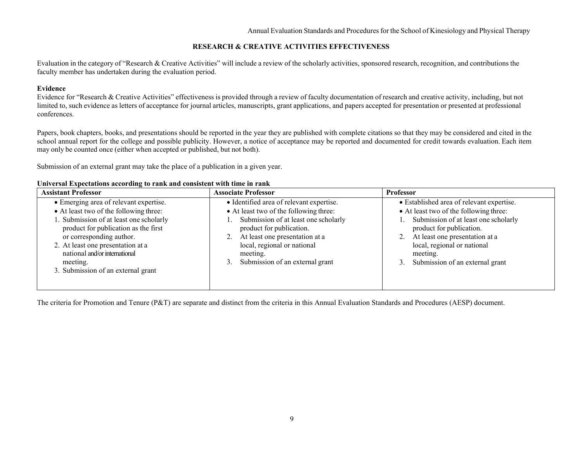Established area of relevant expertise.

product for publication. 2. At least one presentation at a local, regional or national

3. Submission of an external grant

meeting.

Submission of at least one scholarly

## **RESEARCH & CREATIVE ACTIVITIES EFFECTIVENESS**

Evaluation in the category of "Research & Creative Activities" will include a review of the scholarly activities, sponsored research, recognition, and contributions the faculty member has undertaken during the evaluation period.

#### **Evidence**

Evidence for "Research & Creative Activities" effectiveness is provided through a review of faculty documentation of research and creative activity, including, but not limited to, such evidence as letters of acceptance for journal articles, manuscripts, grant applications, and papers accepted for presentation or presented at professional conferences.

Papers, book chapters, books, and presentations should be reported in the year they are published with complete citations so that they may be considered and cited in the school annual report for the college and possible publicity. However, a notice of acceptance may be reported and documented for credit towards evaluation. Each item may only be counted once (either when accepted or published, but not both).

Submission of an external grant may take the place of a publication in a given year.

| Christian Expectations according to runn and consistent with third in runn |                                          |                                         |  |  |  |
|----------------------------------------------------------------------------|------------------------------------------|-----------------------------------------|--|--|--|
| <b>Assistant Professor</b>                                                 | <b>Associate Professor</b>               | <b>Professor</b>                        |  |  |  |
| • Emerging area of relevant expertise.                                     | • Identified area of relevant expertise. | • Established area of relevant experti- |  |  |  |
| • At least two of the following three:                                     | • At least two of the following three:   | • At least two of the following three:  |  |  |  |
| 1. Submission of at least one scholarly                                    | Submission of at least one scholarly     | Submission of at least one schola       |  |  |  |
| product for publication as the first                                       | product for publication.                 | product for publication.                |  |  |  |

#### **Universal Expectations according to rank and consistent with time in rank**

product for publication as the first

or corresponding author. 2. At least one presentation at a national and/or international

3. Submission of an external grant

meeting.

The criteria for Promotion and Tenure (P&T) are separate and distinct from the criteria in this Annual Evaluation Standards and Procedures (AESP) document.

2. At least one presentation at a local, regional or national

3. Submission of an external grant

meeting.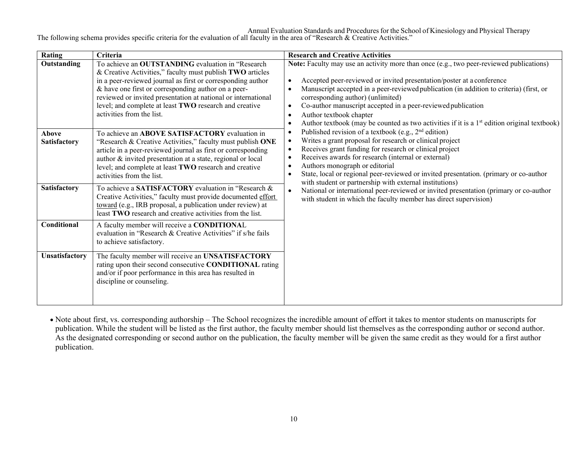The following schema provides specific criteria for the evaluation of all faculty in the area of "Research & Creative Activities."

| Rating                | Criteria                                                                                                                                                                                                                                                                                                                                                                                     | <b>Research and Creative Activities</b>                                                                                                                                                                                                                                                                                                                                                                                                                                                                                             |
|-----------------------|----------------------------------------------------------------------------------------------------------------------------------------------------------------------------------------------------------------------------------------------------------------------------------------------------------------------------------------------------------------------------------------------|-------------------------------------------------------------------------------------------------------------------------------------------------------------------------------------------------------------------------------------------------------------------------------------------------------------------------------------------------------------------------------------------------------------------------------------------------------------------------------------------------------------------------------------|
| Outstanding           | To achieve an OUTSTANDING evaluation in "Research<br>& Creative Activities," faculty must publish TWO articles<br>in a peer-reviewed journal as first or corresponding author<br>& have one first or corresponding author on a peer-<br>reviewed or invited presentation at national or international<br>level; and complete at least TWO research and creative<br>activities from the list. | Note: Faculty may use an activity more than once (e.g., two peer-reviewed publications)<br>Accepted peer-reviewed or invited presentation/poster at a conference<br>$\bullet$<br>Manuscript accepted in a peer-reviewed publication (in addition to criteria) (first, or<br>corresponding author) (unlimited)<br>Co-author manuscript accepted in a peer-reviewed publication<br>$\bullet$<br>Author textbook chapter<br>$\bullet$<br>Author textbook (may be counted as two activities if it is a $1st$ edition original textbook) |
| Above<br>Satisfactory | To achieve an ABOVE SATISFACTORY evaluation in<br>"Research & Creative Activities," faculty must publish ONE<br>article in a peer-reviewed journal as first or corresponding<br>author & invited presentation at a state, regional or local<br>level; and complete at least TWO research and creative<br>activities from the list.                                                           | Published revision of a textbook (e.g., $2nd$ edition)<br>$\bullet$<br>Writes a grant proposal for research or clinical project<br>٠<br>Receives grant funding for research or clinical project<br>$\bullet$<br>Receives awards for research (internal or external)<br>$\bullet$<br>Authors monograph or editorial<br>$\bullet$<br>State, local or regional peer-reviewed or invited presentation. (primary or co-author<br>$\bullet$<br>with student or partnership with external institutions)                                    |
| Satisfactory          | To achieve a SATISFACTORY evaluation in "Research &<br>Creative Activities," faculty must provide documented effort<br>toward (e.g., IRB proposal, a publication under review) at<br>least <b>TWO</b> research and creative activities from the list.                                                                                                                                        | National or international peer-reviewed or invited presentation (primary or co-author<br>$\bullet$<br>with student in which the faculty member has direct supervision)                                                                                                                                                                                                                                                                                                                                                              |
| Conditional           | A faculty member will receive a CONDITIONAL<br>evaluation in "Research & Creative Activities" if s/he fails<br>to achieve satisfactory.                                                                                                                                                                                                                                                      |                                                                                                                                                                                                                                                                                                                                                                                                                                                                                                                                     |
| Unsatisfactory        | The faculty member will receive an UNSATISFACTORY<br>rating upon their second consecutive CONDITIONAL rating<br>and/or if poor performance in this area has resulted in<br>discipline or counseling.                                                                                                                                                                                         |                                                                                                                                                                                                                                                                                                                                                                                                                                                                                                                                     |

• Note about first, vs. corresponding authorship – The School recognizes the incredible amount of effort it takes to mentor students on manuscripts for publication. While the student will be listed as the first author, the faculty member should list themselves as the corresponding author or second author. As the designated corresponding or second author on the publication, the faculty member will be given the same credit as they would for a first author publication.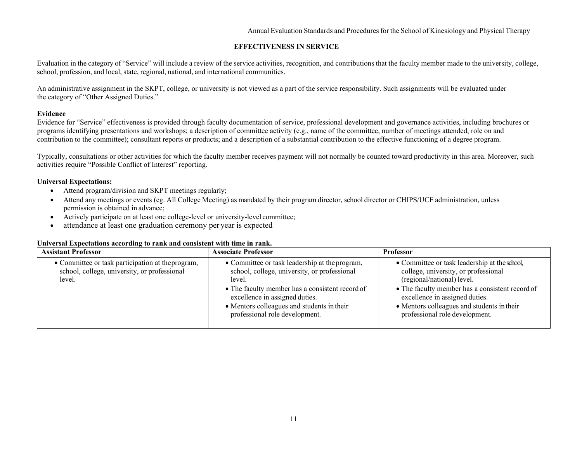# **EFFECTIVENESS IN SERVICE**

Evaluation in the category of "Service" will include a review of the service activities, recognition, and contributions that the faculty member made to the university, college, school, profession, and local, state, regional, national, and international communities.

An administrative assignment in the SKPT, college, or university is not viewed as a part of the service responsibility. Such assignments will be evaluated under the category of "Other Assigned Duties."

## **Evidence**

Evidence for "Service" effectiveness is provided through faculty documentation of service, professional development and governance activities, including brochures or programs identifying presentations and workshops; a description of committee activity (e.g., name of the committee, number of meetings attended, role on and contribution to the committee); consultant reports or products; and a description of a substantial contribution to the effective functioning of a degree program.

Typically, consultations or other activities for which the faculty member receives payment will not normally be counted toward productivity in this area. Moreover, such activities require "Possible Conflict of Interest" reporting.

## **Universal Expectations:**

- Attend program/division and SKPT meetings regularly;
- Attend any meetings or events (eg. All College Meeting) as mandated by their program director, school director or CHIPS/UCF administration, unless permission is obtained in advance;
- Actively participate on at least one college-level or university-level committee;
- attendance at least one graduation ceremony per year is expected

#### **Universal Expectations according to rank and consistent with time in rank.**

| <b>Assistant Professor</b>                                                                                  | <b>Associate Professor</b>                                                                                                                                                                                                                                                    | <b>Professor</b>                                                                                                                                                                                                                                                                         |
|-------------------------------------------------------------------------------------------------------------|-------------------------------------------------------------------------------------------------------------------------------------------------------------------------------------------------------------------------------------------------------------------------------|------------------------------------------------------------------------------------------------------------------------------------------------------------------------------------------------------------------------------------------------------------------------------------------|
| • Committee or task participation at the program,<br>school, college, university, or professional<br>level. | • Committee or task leadership at the program,<br>school, college, university, or professional<br>level.<br>• The faculty member has a consistent record of<br>excellence in assigned duties.<br>• Mentors colleagues and students in their<br>professional role development. | • Committee or task leadership at the school,<br>college, university, or professional<br>(regional/national) level.<br>• The faculty member has a consistent record of<br>excellence in assigned duties.<br>• Mentors colleagues and students in their<br>professional role development. |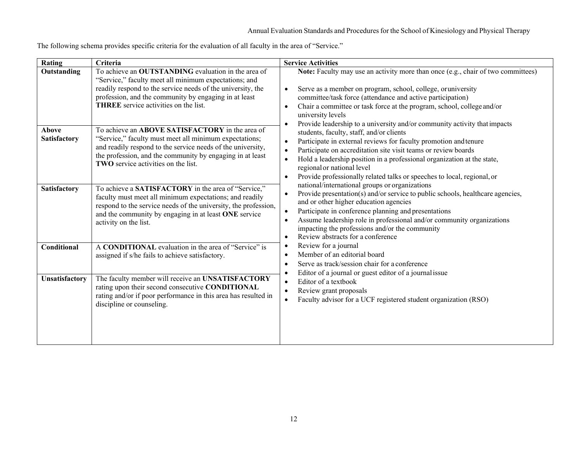|  |  | The following schema provides specific criteria for the evaluation of all faculty in the area of "Service." |  |
|--|--|-------------------------------------------------------------------------------------------------------------|--|
|  |  |                                                                                                             |  |

| Rating                       | Criteria                                                                                                                                                                                                                                                                            | <b>Service Activities</b>                                                                                                                                                                                                                                                                                                                                                                                                                              |
|------------------------------|-------------------------------------------------------------------------------------------------------------------------------------------------------------------------------------------------------------------------------------------------------------------------------------|--------------------------------------------------------------------------------------------------------------------------------------------------------------------------------------------------------------------------------------------------------------------------------------------------------------------------------------------------------------------------------------------------------------------------------------------------------|
| Outstanding                  | To achieve an OUTSTANDING evaluation in the area of<br>"Service," faculty meet all minimum expectations; and<br>readily respond to the service needs of the university, the<br>profession, and the community by engaging in at least<br>THREE service activities on the list.       | Note: Faculty may use an activity more than once (e.g., chair of two committees)<br>Serve as a member on program, school, college, or university<br>$\bullet$<br>committee/task force (attendance and active participation)<br>Chair a committee or task force at the program, school, college and/or<br>$\bullet$<br>university levels<br>Provide leadership to a university and/or community activity that impacts<br>$\bullet$                      |
| Above<br><b>Satisfactory</b> | To achieve an ABOVE SATISFACTORY in the area of<br>"Service," faculty must meet all minimum expectations;<br>and readily respond to the service needs of the university,<br>the profession, and the community by engaging in at least<br><b>TWO</b> service activities on the list. | students, faculty, staff, and/or clients<br>Participate in external reviews for faculty promotion and tenure<br>$\bullet$<br>Participate on accreditation site visit teams or review boards<br>$\bullet$<br>Hold a leadership position in a professional organization at the state,<br>$\bullet$<br>regional or national level<br>Provide professionally related talks or speeches to local, regional, or<br>$\bullet$                                 |
| Satisfactory                 | To achieve a SATISFACTORY in the area of "Service,"<br>faculty must meet all minimum expectations; and readily<br>respond to the service needs of the university, the profession,<br>and the community by engaging in at least ONE service<br>activity on the list.                 | national/international groups or organizations<br>Provide presentation(s) and/or service to public schools, healthcare agencies,<br>$\bullet$<br>and or other higher education agencies<br>Participate in conference planning and presentations<br>$\bullet$<br>Assume leadership role in professional and/or community organizations<br>$\bullet$<br>impacting the professions and/or the community<br>Review abstracts for a conference<br>$\bullet$ |
| Conditional                  | A CONDITIONAL evaluation in the area of "Service" is<br>assigned if s/he fails to achieve satisfactory.                                                                                                                                                                             | Review for a journal<br>٠<br>Member of an editorial board<br>$\bullet$<br>Serve as track/session chair for a conference<br>$\bullet$<br>Editor of a journal or guest editor of a journal issue<br>$\bullet$                                                                                                                                                                                                                                            |
| Unsatisfactory               | The faculty member will receive an UNSATISFACTORY<br>rating upon their second consecutive CONDITIONAL<br>rating and/or if poor performance in this area has resulted in<br>discipline or counseling.                                                                                | Editor of a textbook<br>$\bullet$<br>Review grant proposals<br>$\bullet$<br>Faculty advisor for a UCF registered student organization (RSO)<br>$\bullet$                                                                                                                                                                                                                                                                                               |